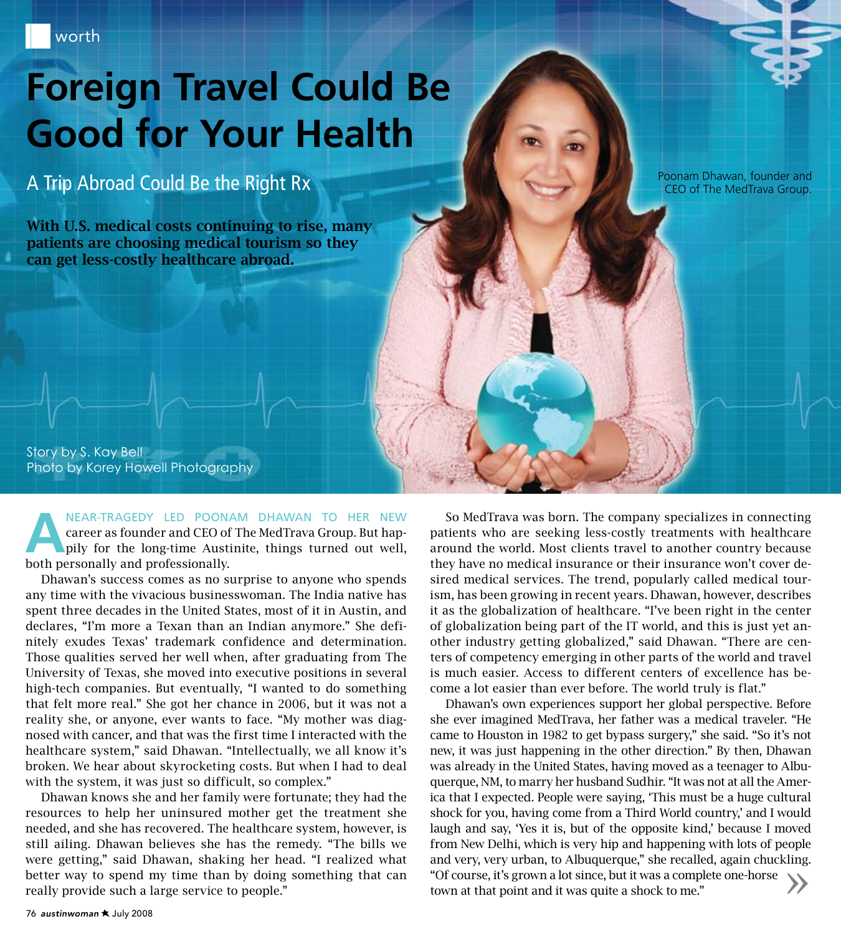# **Foreign Travel Could Be Good for Your Health**

### A Trip Abroad Could Be the Right Rx

With U.S. medical costs continuing to rise, many patients are choosing medical tourism so they can get less-costly healthcare abroad.

Story by S. Kay Bell Photo by Korey Howell Photography

NEAR-TRAGEDY LED POONAM DHAWAN TO HER NEW career as founder and CEO of The MedTrava Group. But happily for the long-time Austinite, things turned out well, both personally and professionally. career as founder and CEO of The MedTrava Group. But happily for the long-time Austinite, things turned out well, both personally and professionally.

Dhawan's success comes as no surprise to anyone who spends any time with the vivacious businesswoman. The India native has spent three decades in the United States, most of it in Austin, and declares, "I'm more a Texan than an Indian anymore." She definitely exudes Texas' trademark confidence and determination. Those qualities served her well when, after graduating from The University of Texas, she moved into executive positions in several high-tech companies. But eventually, "I wanted to do something that felt more real." She got her chance in 2006, but it was not a reality she, or anyone, ever wants to face. "My mother was diagnosed with cancer, and that was the first time I interacted with the healthcare system," said Dhawan. "Intellectually, we all know it's broken. We hear about skyrocketing costs. But when I had to deal with the system, it was just so difficult, so complex."

Dhawan knows she and her family were fortunate; they had the resources to help her uninsured mother get the treatment she needed, and she has recovered. The healthcare system, however, is still ailing. Dhawan believes she has the remedy. "The bills we were getting," said Dhawan, shaking her head. "I realized what better way to spend my time than by doing something that can really provide such a large service to people."

So MedTrava was born. The company specializes in connecting patients who are seeking less-costly treatments with healthcare around the world. Most clients travel to another country because they have no medical insurance or their insurance won't cover desired medical services. The trend, popularly called medical tourism, has been growing in recent years. Dhawan, however, describes it as the globalization of healthcare. "I've been right in the center of globalization being part of the IT world, and this is just yet another industry getting globalized," said Dhawan. "There are centers of competency emerging in other parts of the world and travel is much easier. Access to different centers of excellence has become a lot easier than ever before. The world truly is flat."

Poonam Dhawan, founder and CEO of The MedTrava Group.

Dhawan's own experiences support her global perspective. Before she ever imagined MedTrava, her father was a medical traveler. "He came to Houston in 1982 to get bypass surgery," she said. "So it's not new, it was just happening in the other direction." By then, Dhawan was already in the United States, having moved as a teenager to Albuquerque, NM, to marry her husband Sudhir. "It was not at all the America that I expected. People were saying, 'This must be a huge cultural shock for you, having come from a Third World country,' and I would laugh and say, 'Yes it is, but of the opposite kind,' because I moved from New Delhi, which is very hip and happening with lots of people and very, very urban, to Albuquerque," she recalled, again chuckling. "Of course, it's grown a lot since, but it was a complete one-horse and very, very urban, to Albuquerque," she recalled, again chuckling.<br>"Of course, it's grown a lot since, but it was a complete one-horse town at that point and it was quite a shock to me."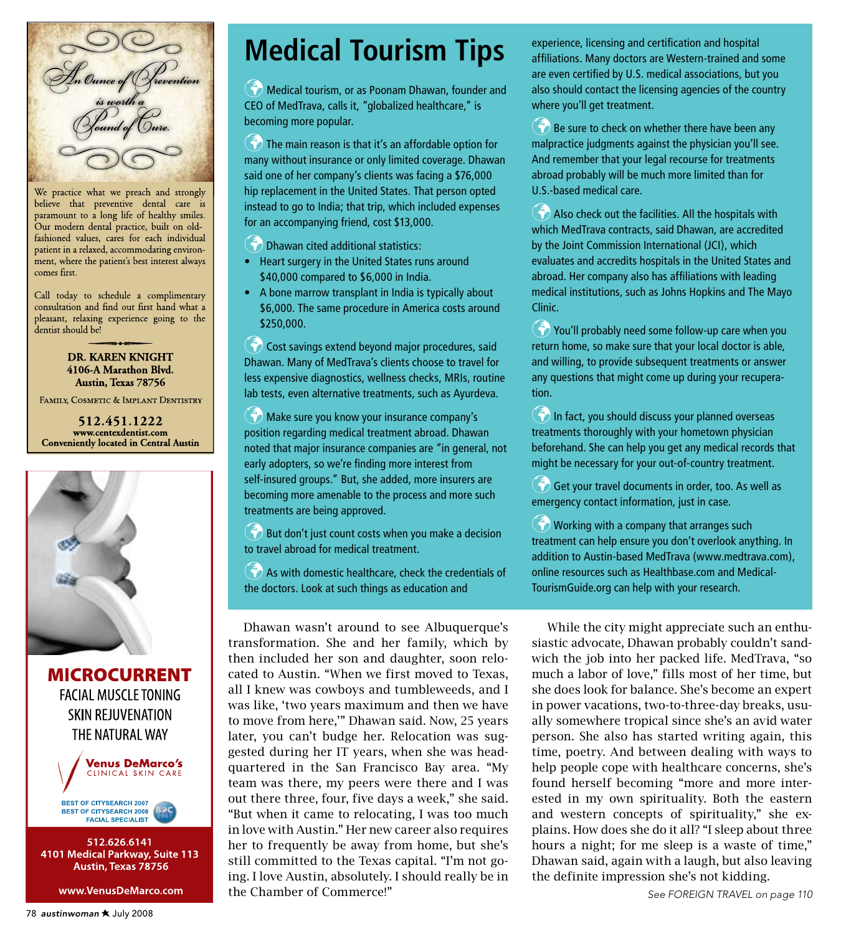

We practice what we preach and strongly believe that preventive dental care is paramount to a long life of healthy smiles. Our modern dental practice, built on oldfashioned values, cares for each individual patient in a relaxed, accommodating environment, where the patient's best interest always comes first.

Call today to schedule a complimentary consultation and find out first hand what a pleasant, relaxing experience going to the dentist should be!

### DR. KAREN KNIGHT 4106-A Marathon Blvd. Austin, Texas 78756

FAMILY, COSMETIC & IMPLANT DENTISTRY

512.451.1222 www.centexdentist.com **Conveniently located in Central Austin** 



**MICROCURRENT FACIAL MUSCLE TONING SKIN REJUVENATION** THE NATURAL WAY





512.626.6141 4101 Medical Parkway, Suite 113 Austin, Texas 78756

www.VenusDeMarco.com

## **Medical Tourism Tips**

Medical tourism, or as Poonam Dhawan, founder and CEO of MedTrava, calls it, "globalized healthcare," is becoming more popular.

 $\bullet$  The main reason is that it's an affordable option for many without insurance or only limited coverage. Dhawan said one of her company's clients was facing a \$76,000 hip replacement in the United States. That person opted instead to go to India; that trip, which included expenses for an accompanying friend, cost \$13,000.

**Dhawan cited additional statistics:** 

- Heart surgery in the United States runs around \$40,000 compared to \$6,000 in India.
- A bone marrow transplant in India is typically about \$6,000. The same procedure in America costs around \$250,000.

Cost savings extend beyond major procedures, said Dhawan. Many of MedTrava's clients choose to travel for less expensive diagnostics, wellness checks, MRIs, routine lab tests, even alternative treatments, such as Ayurdeva.

Make sure you know your insurance company's position regarding medical treatment abroad. Dhawan noted that major insurance companies are "in general, not early adopters, so we're finding more interest from self-insured groups." But, she added, more insurers are becoming more amenable to the process and more such treatments are being approved.

 $\bullet$  But don't just count costs when you make a decision to travel abroad for medical treatment.

 $\bullet$  As with domestic healthcare, check the credentials of the doctors. Look at such things as education and

Dhawan wasn't around to see Albuquerque's transformation. She and her family, which by then included her son and daughter, soon relocated to Austin. "When we first moved to Texas, all I knew was cowboys and tumbleweeds, and I was like, 'two years maximum and then we have to move from here,'" Dhawan said. Now, 25 years later, you can't budge her. Relocation was suggested during her IT years, when she was headquartered in the San Francisco Bay area. "My team was there, my peers were there and I was out there three, four, five days a week," she said. "But when it came to relocating, I was too much in love with Austin." Her new career also requires her to frequently be away from home, but she's still committed to the Texas capital. "I'm not going. I love Austin, absolutely. I should really be in the Chamber of Commerce!"

experience, licensing and certification and hospital affiliations. Many doctors are Western-trained and some are even certified by U.S. medical associations, but you also should contact the licensing agencies of the country where you'll get treatment.

 $\binom{2}{3}$  Be sure to check on whether there have been any malpractice judgments against the physician you'll see. And remember that your legal recourse for treatments abroad probably will be much more limited than for U.S.-based medical care.

 Also check out the facilities. All the hospitals with which MedTrava contracts, said Dhawan, are accredited by the Joint Commission International (JCI), which evaluates and accredits hospitals in the United States and abroad. Her company also has affiliations with leading medical institutions, such as Johns Hopkins and The Mayo Clinic.

You'll probably need some follow-up care when you return home, so make sure that your local doctor is able, and willing, to provide subsequent treatments or answer any questions that might come up during your recuperation.

In fact, you should discuss your planned overseas treatments thoroughly with your hometown physician beforehand. She can help you get any medical records that might be necessary for your out-of-country treatment.

 Get your travel documents in order, too. As well as emergency contact information, just in case.

 $\binom{2}{3}$  Working with a company that arranges such treatment can help ensure you don't overlook anything. In addition to Austin-based MedTrava (www.medtrava.com), online resources such as Healthbase.com and Medical-TourismGuide.org can help with your research.

While the city might appreciate such an enthusiastic advocate, Dhawan probably couldn't sandwich the job into her packed life. MedTrava, "so much a labor of love," fills most of her time, but she does look for balance. She's become an expert in power vacations, two-to-three-day breaks, usually somewhere tropical since she's an avid water person. She also has started writing again, this time, poetry. And between dealing with ways to help people cope with healthcare concerns, she's found herself becoming "more and more interested in my own spirituality. Both the eastern and western concepts of spirituality," she explains. How does she do it all? "I sleep about three hours a night; for me sleep is a waste of time," Dhawan said, again with a laugh, but also leaving the definite impression she's not kidding.

*See Foreign Travel on page 110*